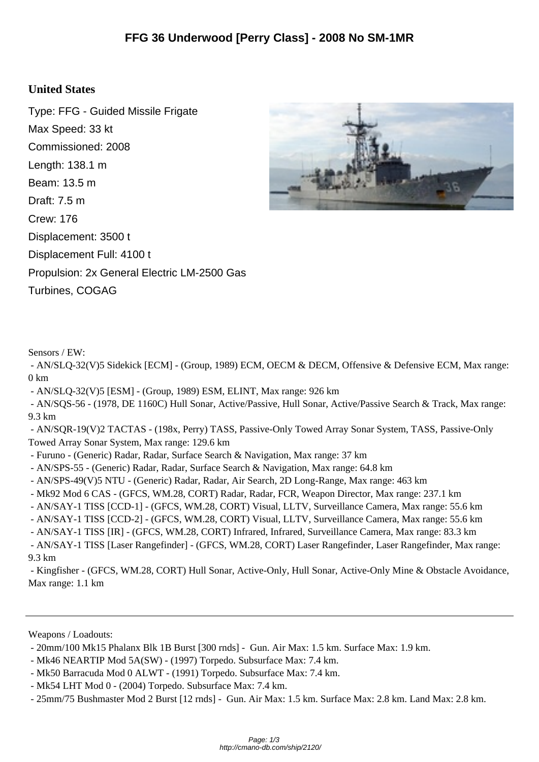## **United States**

Type: FFG - Guided Missile Frigate Max Speed: 33 kt Commissioned: 2008 Length: 138.1 m Beam: 13.5 m Draft: 7.5 m Crew: 176 Displacement: 3500 t Displacement Full: 4100 t Propulsion: 2x General Electric LM-2500 Gas Turbines, COGAG



Sensors / EW:

 - AN/SLQ-32(V)5 Sidekick [ECM] - (Group, 1989) ECM, OECM & DECM, Offensive & Defensive ECM, Max range:  $0 \text{ km}$ 

- AN/SLQ-32(V)5 [ESM] - (Group, 1989) ESM, ELINT, Max range: 926 km

 - AN/SQS-56 - (1978, DE 1160C) Hull Sonar, Active/Passive, Hull Sonar, Active/Passive Search & Track, Max range: 9.3 km

 - AN/SQR-19(V)2 TACTAS - (198x, Perry) TASS, Passive-Only Towed Array Sonar System, TASS, Passive-Only Towed Array Sonar System, Max range: 129.6 km

- Furuno - (Generic) Radar, Radar, Surface Search & Navigation, Max range: 37 km

- AN/SPS-55 (Generic) Radar, Radar, Surface Search & Navigation, Max range: 64.8 km
- AN/SPS-49(V)5 NTU (Generic) Radar, Radar, Air Search, 2D Long-Range, Max range: 463 km
- Mk92 Mod 6 CAS (GFCS, WM.28, CORT) Radar, Radar, FCR, Weapon Director, Max range: 237.1 km
- AN/SAY-1 TISS [CCD-1] (GFCS, WM.28, CORT) Visual, LLTV, Surveillance Camera, Max range: 55.6 km
- AN/SAY-1 TISS [CCD-2] (GFCS, WM.28, CORT) Visual, LLTV, Surveillance Camera, Max range: 55.6 km
- AN/SAY-1 TISS [IR] (GFCS, WM.28, CORT) Infrared, Infrared, Surveillance Camera, Max range: 83.3 km
- AN/SAY-1 TISS [Laser Rangefinder] (GFCS, WM.28, CORT) Laser Rangefinder, Laser Rangefinder, Max range: 9.3 km

 - Kingfisher - (GFCS, WM.28, CORT) Hull Sonar, Active-Only, Hull Sonar, Active-Only Mine & Obstacle Avoidance, Max range: 1.1 km

Weapons / Loadouts:

- Mk46 NEARTIP Mod 5A(SW) (1997) Torpedo. Subsurface Max: 7.4 km.
- Mk50 Barracuda Mod 0 ALWT (1991) Torpedo. Subsurface Max: 7.4 km.
- Mk54 LHT Mod 0 (2004) Torpedo. Subsurface Max: 7.4 km.

 <sup>- 20</sup>mm/100 Mk15 Phalanx Blk 1B Burst [300 rnds] - Gun. Air Max: 1.5 km. Surface Max: 1.9 km.

 <sup>- 25</sup>mm/75 Bushmaster Mod 2 Burst [12 rnds] - Gun. Air Max: 1.5 km. Surface Max: 2.8 km. Land Max: 2.8 km.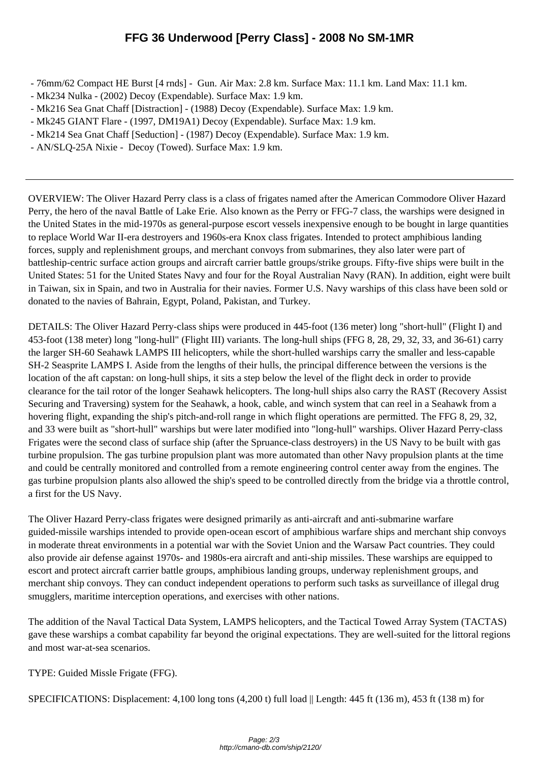- 76mm/62 Compact H[E Burst \[4 rnds\] Gun. Air Max: 2.8 km. Surface Max: 11.1 km. Land M](http://cmano-db.com/ship/2120/)ax: 11.1 km.
- Mk234 Nulka (2002) Decoy (Expendable). Surface Max: 1.9 km.
- Mk216 Sea Gnat Chaff [Distraction] (1988) Decoy (Expendable). Surface Max: 1.9 km.
- Mk245 GIANT Flare (1997, DM19A1) Decoy (Expendable). Surface Max: 1.9 km.
- Mk214 Sea Gnat Chaff [Seduction] (1987) Decoy (Expendable). Surface Max: 1.9 km.
- AN/SLQ-25A Nixie Decoy (Towed). Surface Max: 1.9 km.

OVERVIEW: The Oliver Hazard Perry class is a class of frigates named after the American Commodore Oliver Hazard Perry, the hero of the naval Battle of Lake Erie. Also known as the Perry or FFG-7 class, the warships were designed in the United States in the mid-1970s as general-purpose escort vessels inexpensive enough to be bought in large quantities to replace World War II-era destroyers and 1960s-era Knox class frigates. Intended to protect amphibious landing forces, supply and replenishment groups, and merchant convoys from submarines, they also later were part of battleship-centric surface action groups and aircraft carrier battle groups/strike groups. Fifty-five ships were built in the United States: 51 for the United States Navy and four for the Royal Australian Navy (RAN). In addition, eight were built in Taiwan, six in Spain, and two in Australia for their navies. Former U.S. Navy warships of this class have been sold or donated to the navies of Bahrain, Egypt, Poland, Pakistan, and Turkey.

DETAILS: The Oliver Hazard Perry-class ships were produced in 445-foot (136 meter) long "short-hull" (Flight I) and 453-foot (138 meter) long "long-hull" (Flight III) variants. The long-hull ships (FFG 8, 28, 29, 32, 33, and 36-61) carry the larger SH-60 Seahawk LAMPS III helicopters, while the short-hulled warships carry the smaller and less-capable SH-2 Seasprite LAMPS I. Aside from the lengths of their hulls, the principal difference between the versions is the location of the aft capstan: on long-hull ships, it sits a step below the level of the flight deck in order to provide clearance for the tail rotor of the longer Seahawk helicopters. The long-hull ships also carry the RAST (Recovery Assist Securing and Traversing) system for the Seahawk, a hook, cable, and winch system that can reel in a Seahawk from a hovering flight, expanding the ship's pitch-and-roll range in which flight operations are permitted. The FFG 8, 29, 32, and 33 were built as "short-hull" warships but were later modified into "long-hull" warships. Oliver Hazard Perry-class Frigates were the second class of surface ship (after the Spruance-class destroyers) in the US Navy to be built with gas turbine propulsion. The gas turbine propulsion plant was more automated than other Navy propulsion plants at the time and could be centrally monitored and controlled from a remote engineering control center away from the engines. The gas turbine propulsion plants also allowed the ship's speed to be controlled directly from the bridge via a throttle control, a first for the US Navy.

The Oliver Hazard Perry-class frigates were designed primarily as anti-aircraft and anti-submarine warfare guided-missile warships intended to provide open-ocean escort of amphibious warfare ships and merchant ship convoys in moderate threat environments in a potential war with the Soviet Union and the Warsaw Pact countries. They could also provide air defense against 1970s- and 1980s-era aircraft and anti-ship missiles. These warships are equipped to escort and protect aircraft carrier battle groups, amphibious landing groups, underway replenishment groups, and merchant ship convoys. They can conduct independent operations to perform such tasks as surveillance of illegal drug smugglers, maritime interception operations, and exercises with other nations.

The addition of the Naval Tactical Data System, LAMPS helicopters, and the Tactical Towed Array System (TACTAS) gave these warships a combat capability far beyond the original expectations. They are well-suited for the littoral regions and most war-at-sea scenarios.

TYPE: Guided Missle Frigate (FFG).

SPECIFICATIONS: Displacement: 4,100 long tons (4,200 t) full load || Length: 445 ft (136 m), 453 ft (138 m) for